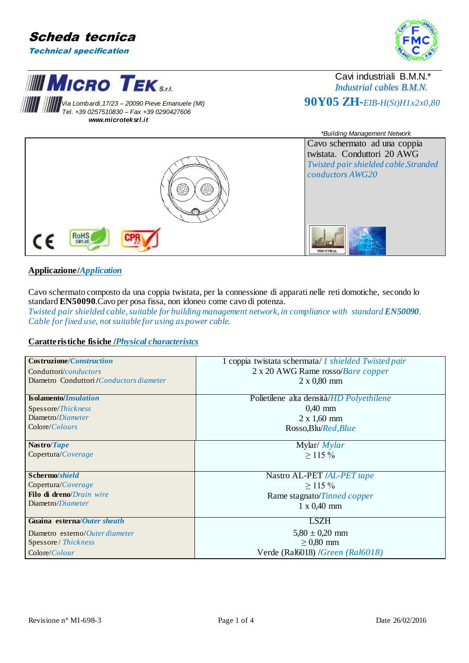

**MIMICRO TEKSAL** 

 *Tel. +39 0257510830 – Fax +39 0290427606 www.microteksrl.it*



### Cavi industriali B.M.N.\* *Industrial cables B.M.N.* **11 |** *Via Lombardi,17/23 – 20090 Pieve Emanuele (MI)* $\mathbf{90Y05 ZH}$ *-EIB-H(St)H1x2x0,80***<br>
<b>101 + 200257510830** = E3x + 39.020427606



### **Applicazione/***Application*

Cavo schermato composto da una coppia twistata, per la connessione di apparati nelle reti domotiche, secondo lo standard **EN50090**.Cavo per posa fissa, non idoneo come cavo di potenza. *Twisted pair shielded cable, suitable for building management network, in compliance with standard <i>EN50090*. *Cable for fixed use, not suitable for using as power cable.*

### **Caratteristiche fisiche /***Physical characteristcs*

| Costruzione/ <i>Construction</i>          | 1 coppia twistata schermata/ 1 shielded Twisted pair |  |  |  |
|-------------------------------------------|------------------------------------------------------|--|--|--|
| Conduttori/conductors                     | 2 x 20 AWG Rame rosso/Bare copper                    |  |  |  |
| Diametro Conduttori / Conductors diameter | $2 \times 0,80$ mm                                   |  |  |  |
|                                           |                                                      |  |  |  |
| <b>Isolamento/Insulation</b>              | Polietilene alta densità/HD Polyethilene             |  |  |  |
| Spessore/Thickness                        | $0,40$ mm                                            |  |  |  |
| Diametro/Diameter                         | $2 \times 1,60 \text{ mm}$                           |  |  |  |
| Colore/ <i>Colours</i>                    | Rosso, Blu/Red, Blue                                 |  |  |  |
|                                           |                                                      |  |  |  |
| Nastro/Tape                               | Mylar/ $Mylar$                                       |  |  |  |
| Copertura/Coverage                        | $\geq$ 115 %                                         |  |  |  |
|                                           |                                                      |  |  |  |
| Schermo/shield                            | Nastro AL-PET /AL-PET tape                           |  |  |  |
| Copertura/Coverage                        | $>$ 115 %                                            |  |  |  |
| Filo di dreno/Drain wire                  | Rame stagnato/Tinned copper                          |  |  |  |
| Diametro/Diameter                         | $1 \times 0,40$ mm                                   |  |  |  |
|                                           |                                                      |  |  |  |
| Guaina esterna/ <i>Outer sheath</i>       | <b>LSZH</b>                                          |  |  |  |
| Diametro esterno/Outer diameter           | $5,80 \pm 0,20$ mm                                   |  |  |  |
| Spessore / Thickness                      | $\geq$ 0.80 mm                                       |  |  |  |
| Colore/Colour                             | Verde (Ral6018) /Green (Ral6018)                     |  |  |  |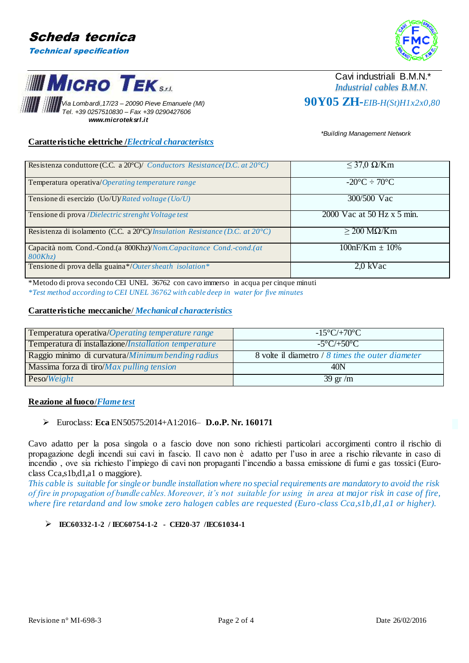**MIMICRO TEKSAL** 



## Cavi industriali B.M.N.\* *Industrial cables B.M.N.*

*Via Lombardi,17/23 – 20090 Pieve Emanuele (MI)* **90Y05 ZH***-EIB-H(St)H1x2x0,80 Tel. +39 0257510830 – Fax +39 0290427606 www.microteksrl.it*

 *\*Building Management Network*

### **Caratteristiche elettriche /***Electrical characteristcs*

| Resistenza conduttore (C.C. a 20 $^{\circ}$ C)/ Conductors Resistance (D.C. at 20 $^{\circ}$ C) | $\leq$ 37,0 $\Omega$ /Km        |
|-------------------------------------------------------------------------------------------------|---------------------------------|
| Temperatura operativa/Operating temperature range                                               | $-20\degree C \div 70\degree C$ |
| Tensione di esercizio (Uo/U)/Rated voltage (Uo/U)                                               | 300/500 Vac                     |
| Tensione di prova / Dielectric strenght Voltage test                                            | 2000 Vac at 50 Hz x 5 min.      |
| Resistenza di isolamento (C.C. a 20°C)/ <i>Insulation Resistance</i> (D.C. at 20°C)             | $\geq$ 200 MQ/Km                |
| Capacità nom. Cond.-Cond.(a 800Khz)/Nom.Capacitance Cond.-cond.(at                              | $100nF/Km \pm 10\%$             |
| 800Khz                                                                                          |                                 |
| Tensione di prova della guaina*/Outer sheath isolation*                                         | 2.0 kVac                        |

\*Metodo di prova secondo CEI UNEL 36762 con cavo immerso in acqua per cinque minuti *\*Test method according to CEI UNEL 36762 with cable deep in water for five minutes*

### **Caratteristiche meccaniche**/ *Mechanical characteristics*

| Temperatura operativa/Operating temperature range     | $-15^{\circ}$ C/+70 $^{\circ}$ C                 |
|-------------------------------------------------------|--------------------------------------------------|
| Temperatura di installazione/Installation temperature | $-5^{\circ}$ C/+50 $^{\circ}$ C                  |
| Raggio minimo di curvatura/Minimum bending radius     | 8 volte il diametro / 8 times the outer diameter |
| Massima forza di tiro/ <i>Max pulling tension</i>     | 40N                                              |
| Peso/Weight                                           | $39 \text{ gr/m}$                                |

### **Reazione al fuoco**/*Flame test*

### Euroclass: **Eca** EN50575:2014+A1:2016– **D.o.P. Nr. 160171**

Cavo adatto per la posa singola o a fascio dove non sono richiesti particolari accorgimenti contro il rischio di propagazione degli incendi sui cavi in fascio. Il cavo non è adatto per l'uso in aree a rischio rilevante in caso di incendio , ove sia richiesto l'impiego di cavi non propaganti l'incendio a bassa emissione di fumi e gas tossici (Euroclass Cca,s1b,d1,a1 o maggiore).

*This cable is suitable for single or bundle installation where no special requirements are mandatory to avoid the risk of fire in propagation of bundle cables. Moreover, it's not suitable for using in area at major risk in case of fire,*  where fire retardand and low smoke zero halogen cables are requested (Euro-class Cca,s1b,d1,a1 or higher).

### **IEC60332-1-2 / IEC60754-1-2 - CEI20-37 /IEC61034-1**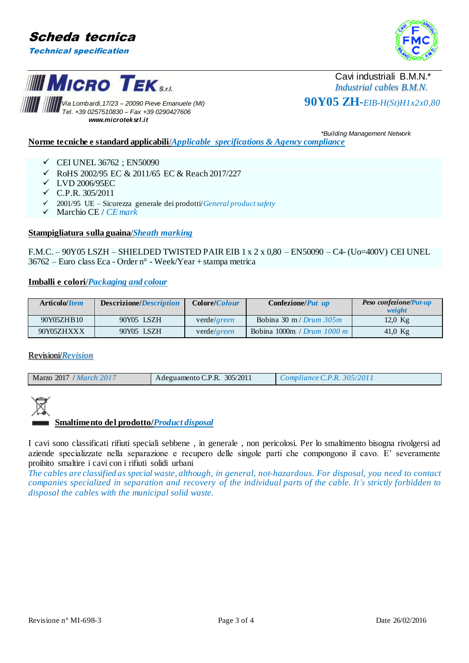



# **III MICRO TEKSAL**

Cavi industriali B.M.N.\* *Industrial cables B.M.N.*

*Via Lombardi,17/23 – 20090 Pieve Emanuele (MI)* **90Y05 ZH***-EIB-H(St)H1x2x0,80 Tel. +39 0257510830 – Fax +39 0290427606 www.microteksrl.it*

#### *\*Building Management Network*

**Norme tecniche e standard applicabili**/*Applicable specifications & Agency compliance*

- $\checkmark$  CEI UNEL 36762; EN50090
- RoHS 2002/95 EC & 2011/65 EC & Reach 2017/227
- LVD 2006/95EC
- $\checkmark$  C.P.R. 305/2011
- 2001/95 UE Sicurezza generale dei prodotti/*General product safety*
- Marchio CE / *CE mark*

### **Stampigliatura sulla guaina**/*Sheath marking*

F.M.C. – 90Y05 LSZH – SHIELDED TWISTED PAIR EIB 1 x 2 x 0,80 – EN50090 – C4- (Uo=400V) CEI UNEL 36762 – Euro class Eca - Order n° - Week/Year + stampa metrica

### **Imballi e colori**/*Packaging and colour*

| Articolo/ <i>Item</i> | Descrizione/ <i>Description</i> | Colore/ <i>Colour</i> | Confezione/ <i>Put up</i>            | <b>Peso confezione/Put-up</b><br>weight |
|-----------------------|---------------------------------|-----------------------|--------------------------------------|-----------------------------------------|
| 90Y05ZHB10            | 90Y05 LSZH                      | verde/green           | Bobina 30 m / Drum $305m$            | $12.0$ Kg                               |
| 90Y05ZHXXX            | 90Y05 LSZH                      | verde/green           | Bobina 1000m / Drum $1000 \text{ m}$ | 41,0 $Kg$                               |

### Revisioni/*Revision*



### **Smaltimento del prodotto/***Product disposal*

I cavi sono classificati rifiuti speciali sebbene , in generale , non pericolosi. Per lo smaltimento bisogna rivolgersi ad aziende specializzate nella separazione e recupero delle singole parti che compongono il cavo. E' severamente proibito smaltire i cavi con i rifiuti solidi urbani

*The cables are classified as special waste, although, in general, not-hazardous. For disposal, you need to contact companies specialized in separation and recovery of the individual parts of the cable. It's strictly forbidden to disposal the cables with the municipal solid waste.*